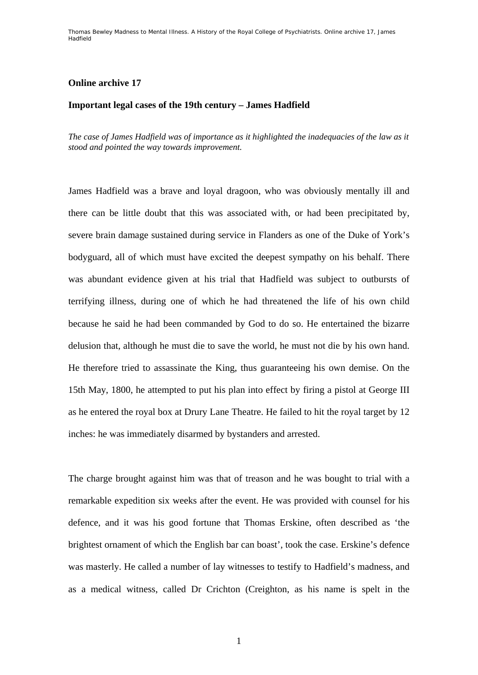Thomas Bewley *Madness to Mental Illness. A History of the Royal College of Psychiatrists*. Online archive 17, *James Hadfield*

## **Online archive 17**

## **Important legal cases of the 19th century – James Hadfield**

*The case of James Hadfield was of importance as it highlighted the inadequacies of the law as it stood and pointed the way towards improvement.* 

James Hadfield was a brave and loyal dragoon, who was obviously mentally ill and there can be little doubt that this was associated with, or had been precipitated by, severe brain damage sustained during service in Flanders as one of the Duke of York's bodyguard, all of which must have excited the deepest sympathy on his behalf. There was abundant evidence given at his trial that Hadfield was subject to outbursts of terrifying illness, during one of which he had threatened the life of his own child because he said he had been commanded by God to do so. He entertained the bizarre delusion that, although he must die to save the world, he must not die by his own hand. He therefore tried to assassinate the King, thus guaranteeing his own demise. On the 15th May, 1800, he attempted to put his plan into effect by firing a pistol at George III as he entered the royal box at Drury Lane Theatre. He failed to hit the royal target by 12 inches: he was immediately disarmed by bystanders and arrested.

The charge brought against him was that of treason and he was bought to trial with a remarkable expedition six weeks after the event. He was provided with counsel for his defence, and it was his good fortune that Thomas Erskine, often described as 'the brightest ornament of which the English bar can boast', took the case. Erskine's defence was masterly. He called a number of lay witnesses to testify to Hadfield's madness, and as a medical witness, called Dr Crichton (Creighton, as his name is spelt in the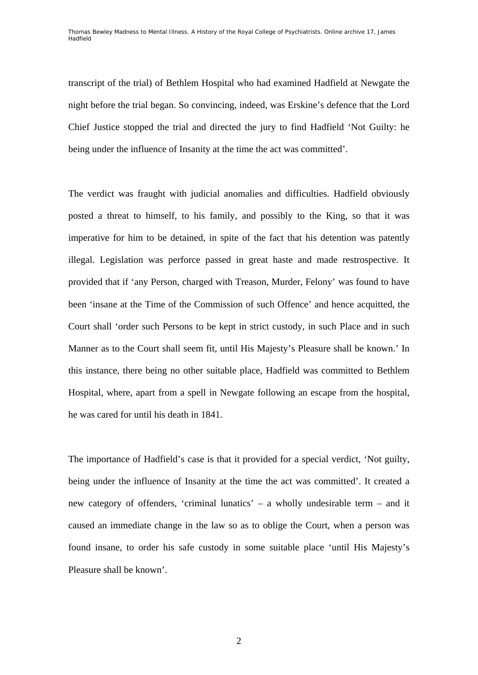transcript of the trial) of Bethlem Hospital who had examined Hadfield at Newgate the night before the trial began. So convincing, indeed, was Erskine's defence that the Lord Chief Justice stopped the trial and directed the jury to find Hadfield 'Not Guilty: he being under the influence of Insanity at the time the act was committed'.

The verdict was fraught with judicial anomalies and difficulties. Hadfield obviously posted a threat to himself, to his family, and possibly to the King, so that it was imperative for him to be detained, in spite of the fact that his detention was patently illegal. Legislation was perforce passed in great haste and made restrospective. It provided that if 'any Person, charged with Treason, Murder, Felony' was found to have been 'insane at the Time of the Commission of such Offence' and hence acquitted, the Court shall 'order such Persons to be kept in strict custody, in such Place and in such Manner as to the Court shall seem fit, until His Majesty's Pleasure shall be known.' In this instance, there being no other suitable place, Hadfield was committed to Bethlem Hospital, where, apart from a spell in Newgate following an escape from the hospital, he was cared for until his death in 1841.

The importance of Hadfield's case is that it provided for a special verdict, 'Not guilty, being under the influence of Insanity at the time the act was committed'. It created a new category of offenders, 'criminal lunatics' – a wholly undesirable term – and it caused an immediate change in the law so as to oblige the Court, when a person was found insane, to order his safe custody in some suitable place 'until His Majesty's Pleasure shall be known'.